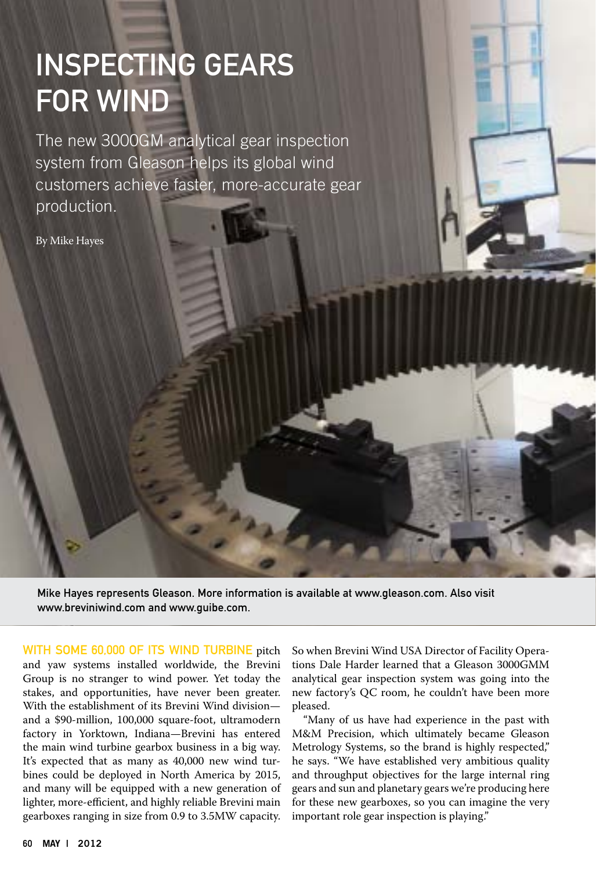# Inspecting Gears for Wind

The new 3000GM analytical gear inspection system from Gleason helps its global wind customers achieve faster, more-accurate gear production.

By Mike Hayes

Mike Hayes represents Gleason. More information is available at www.gleason.com. Also visit www.breviniwind.com and www.guibe.com.

WITH SOME 60,000 OF ITS WIND TURBINE pitch and yaw systems installed worldwide, the Brevini Group is no stranger to wind power. Yet today the stakes, and opportunities, have never been greater. With the establishment of its Brevini Wind division and a \$90-million, 100,000 square-foot, ultramodern factory in Yorktown, Indiana—Brevini has entered the main wind turbine gearbox business in a big way. It's expected that as many as 40,000 new wind turbines could be deployed in North America by 2015, and many will be equipped with a new generation of lighter, more-efficient, and highly reliable Brevini main gearboxes ranging in size from 0.9 to 3.5MW capacity.

So when Brevini Wind USA Director of Facility Operations Dale Harder learned that a Gleason 3000GMM analytical gear inspection system was going into the new factory's QC room, he couldn't have been more pleased.

"Many of us have had experience in the past with M&M Precision, which ultimately became Gleason Metrology Systems, so the brand is highly respected," he says. "We have established very ambitious quality and throughput objectives for the large internal ring gears and sun and planetary gears we're producing here for these new gearboxes, so you can imagine the very important role gear inspection is playing."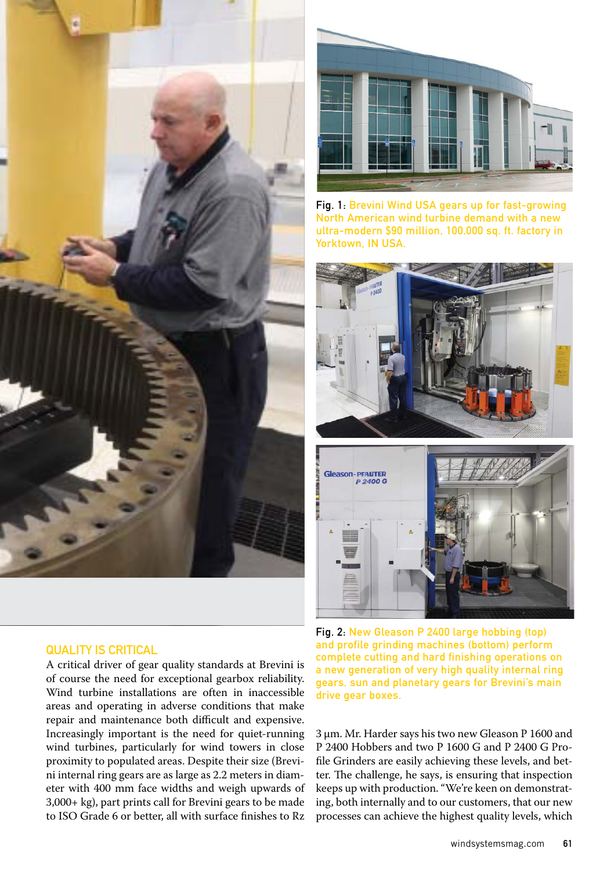

#### QUALITY IS CRITICAL

A critical driver of gear quality standards at Brevini is of course the need for exceptional gearbox reliability. Wind turbine installations are often in inaccessible areas and operating in adverse conditions that make repair and maintenance both difficult and expensive. Increasingly important is the need for quiet-running wind turbines, particularly for wind towers in close proximity to populated areas. Despite their size (Brevini internal ring gears are as large as 2.2 meters in diameter with 400 mm face widths and weigh upwards of 3,000+ kg), part prints call for Brevini gears to be made to ISO Grade 6 or better, all with surface finishes to Rz



Fig. 1: Brevini Wind USA gears up for fast-growing North American wind turbine demand with a new ultra-modern \$90 million, 100,000 sq. ft. factory in Yorktown, IN USA.



Fig. 2: New Gleason P 2400 large hobbing (top) and profile grinding machines (bottom) perform complete cutting and hard finishing operations on a new generation of very high quality internal ring gears, sun and planetary gears for Brevini's main drive gear boxes.

3 μm. Mr. Harder says his two new Gleason P 1600 and P 2400 Hobbers and two P 1600 G and P 2400 G Profile Grinders are easily achieving these levels, and better. The challenge, he says, is ensuring that inspection keeps up with production. "We're keen on demonstrating, both internally and to our customers, that our new processes can achieve the highest quality levels, which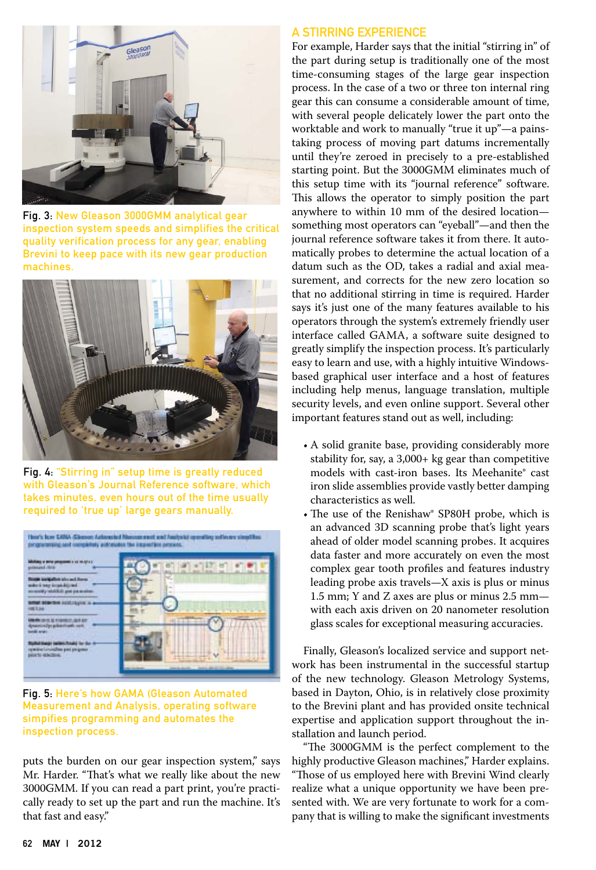

Fig. 3: New Gleason 3000GMM analytical gear inspection system speeds and simplifies the critical quality verification process for any gear, enabling Brevini to keep pace with its new gear production machines.



Fig. 4: "Stirring in" setup time is greatly reduced with Gleason's Journal Reference software, which takes minutes, even hours out of the time usually required to 'true up' large gears manually.



Fig. 5: Here's how GAMA (Gleason Automated Measurement and Analysis, operating software simpifies programming and automates the inspection process.

puts the burden on our gear inspection system," says Mr. Harder. "That's what we really like about the new 3000GMM. If you can read a part print, you're practically ready to set up the part and run the machine. It's that fast and easy."

### A Stirring Experience

For example, Harder says that the initial "stirring in" of the part during setup is traditionally one of the most time-consuming stages of the large gear inspection process. In the case of a two or three ton internal ring gear this can consume a considerable amount of time, with several people delicately lower the part onto the worktable and work to manually "true it up"—a painstaking process of moving part datums incrementally until they're zeroed in precisely to a pre-established starting point. But the 3000GMM eliminates much of this setup time with its "journal reference" software. This allows the operator to simply position the part anywhere to within 10 mm of the desired location something most operators can "eyeball"—and then the journal reference software takes it from there. It automatically probes to determine the actual location of a datum such as the OD, takes a radial and axial measurement, and corrects for the new zero location so that no additional stirring in time is required. Harder says it's just one of the many features available to his operators through the system's extremely friendly user interface called GAMA, a software suite designed to greatly simplify the inspection process. It's particularly easy to learn and use, with a highly intuitive Windowsbased graphical user interface and a host of features including help menus, language translation, multiple security levels, and even online support. Several other important features stand out as well, including:

- A solid granite base, providing considerably more stability for, say, a 3,000+ kg gear than competitive models with cast-iron bases. Its Meehanite® cast iron slide assemblies provide vastly better damping characteristics as well.
- The use of the Renishaw® SP80H probe, which is an advanced 3D scanning probe that's light years ahead of older model scanning probes. It acquires data faster and more accurately on even the most complex gear tooth profiles and features industry leading probe axis travels—X axis is plus or minus 1.5 mm; Y and Z axes are plus or minus 2.5 mm with each axis driven on 20 nanometer resolution glass scales for exceptional measuring accuracies.

Finally, Gleason's localized service and support network has been instrumental in the successful startup of the new technology. Gleason Metrology Systems, based in Dayton, Ohio, is in relatively close proximity to the Brevini plant and has provided onsite technical expertise and application support throughout the installation and launch period.

"The 3000GMM is the perfect complement to the highly productive Gleason machines," Harder explains. "Those of us employed here with Brevini Wind clearly realize what a unique opportunity we have been presented with. We are very fortunate to work for a company that is willing to make the significant investments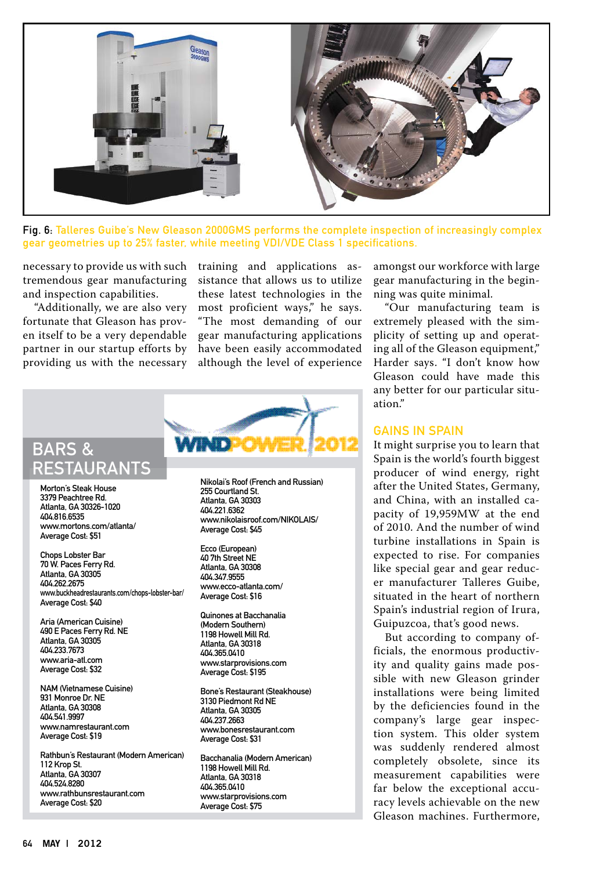

Fig. 6: Talleres Guibe's New Gleason 2000GMS performs the complete inspection of increasingly complex gear geometries up to 25% faster, while meeting VDI/VDE Class 1 specifications.

necessary to provide us with such tremendous gear manufacturing and inspection capabilities.

"Additionally, we are also very fortunate that Gleason has proven itself to be a very dependable partner in our startup efforts by providing us with the necessary training and applications assistance that allows us to utilize these latest technologies in the most proficient ways," he says. "The most demanding of our gear manufacturing applications have been easily accommodated although the level of experience



Morton's Steak House 3379 Peachtree Rd. Atlanta, GA 30326-1020 404.816.6535 www.mortons.com/atlanta/ Average Cost: \$51

Chops Lobster Bar 70 W. Paces Ferry Rd. Atlanta, GA 30305 404.262.2675 www.buckheadrestaurants.com/chops-lobster-bar/ Average Cost: \$40

Aria (American Cuisine) 490 E Paces Ferry Rd. NE Atlanta, GA 30305 404.233.7673 www.aria-atl.com Average Cost: \$32

NAM (Vietnamese Cuisine) 931 Monroe Dr. NE Atlanta, GA 30308 404.541.9997 www.namrestaurant.com Average Cost: \$19

Rathbun's Restaurant (Modern American) 112 Krop St. Atlanta, GA 30307 404.524.8280 www.rathbunsrestaurant.com Average Cost: \$20

Nikolai's Roof (French and Russian) 255 Courtland St. Atlanta, GA 30303 404.221.6362 www.nikolaisroof.com/NIKOLAIS/ Average Cost: \$45

Ecco (European) 40 7th Street NE Atlanta, GA 30308 404.347.9555 www.ecco-atlanta.com/ Average Cost: \$16

Quinones at Bacchanalia (Modern Southern) 1198 Howell Mill Rd. Atlanta, GA 30318 404.365.0410 www.starprovisions.com Average Cost: \$195

Bone's Restaurant (Steakhouse) 3130 Piedmont Rd NE Atlanta, GA 30305 404.237.2663 www.bonesrestaurant.com Average Cost: \$31

Bacchanalia (Modern American) 1198 Howell Mill Rd. Atlanta, GA 30318 404.365.0410 www.starprovisions.com Average Cost: \$75

amongst our workforce with large gear manufacturing in the beginning was quite minimal.

"Our manufacturing team is extremely pleased with the simplicity of setting up and operating all of the Gleason equipment," Harder says. "I don't know how Gleason could have made this any better for our particular situation."

#### Gains in Spain

It might surprise you to learn that Spain is the world's fourth biggest producer of wind energy, right after the United States, Germany, and China, with an installed capacity of 19,959MW at the end of 2010. And the number of wind turbine installations in Spain is expected to rise. For companies like special gear and gear reducer manufacturer Talleres Guibe, situated in the heart of northern Spain's industrial region of Irura, Guipuzcoa, that's good news.

But according to company officials, the enormous productivity and quality gains made possible with new Gleason grinder installations were being limited by the deficiencies found in the company's large gear inspection system. This older system was suddenly rendered almost completely obsolete, since its measurement capabilities were far below the exceptional accuracy levels achievable on the new Gleason machines. Furthermore,